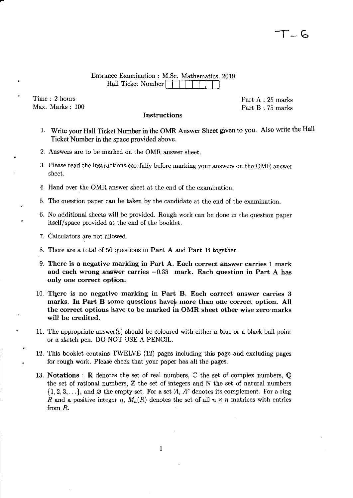## Entrance Examination: M.Sc. Mathematics, 2019 Hall Ticket Number

Instructions

Time : 2 hours Max. Marks : 100 Part A : 25 marks Part B : 75 marks

- 1. Write your Hall Ticket Number in the OMR Answer Sheet given to you. Also write the Hall Ticket Number in the space provided above.
- 2. Answers are to be marked on the OMR answer sheet.
- 3. Please read the instructions carefully before marking your answers on the OMR answer sheet.
- 4. Hand over the OMR answer sheet at the end of the examination.
- 5. The question paper can be taken by the candidate at the end of the examination.
- 6. No additional sheets will be provided. Rough work can be done in the question paper itself/space provided at the end of the booklet.
- 7. Calculators are not allowed.
- 8. There are a total of 50 questions in Part A and Part B together.
- 9. There is a negative marking in Part A. Each correct answer carries 1 mark and each wrong answer carries  $-0.33$  mark. Each question in Part A has only one correct option.
- 10. There is no negative marking in Part B. Each correct answer carries 3 marks. In Part B some questions have more than one correct option. All the correct options have to be marked in OMR sheet other wise zero'marks will be credited.
- 11. The appropriate answer(s) should be coloured with either a blue or a black ball point or a sketch pen. DO NOT USE A PENCIL.
- 12. This booklet contains TWELVE (12) pages including this page and excluding pages for rough work. Please check that your paper has all the pages.
- 13. Notations : R denotes the set of real numbers,  $\mathbb C$  the set of complex numbers,  $\mathbb Q$ the set of rational numbers,  $\mathbb Z$  the set of integers and  $\mathbb N$  the set of natural numbers  $\{1, 2, 3, \ldots\}$ , and  $\varnothing$  the empty set. For a set A, A<sup>c</sup> denotes its complement. For a ring *R* and a positive integer *n*,  $M_n(R)$  denotes the set of all  $n \times n$  matrices with entries from *R.*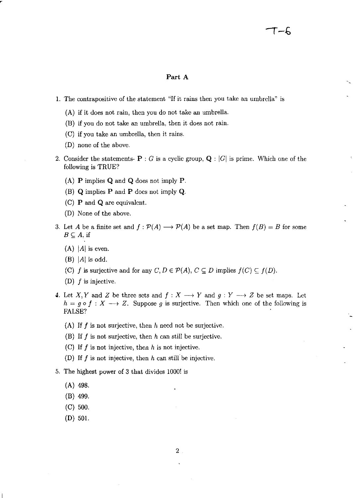## Part A

- 1. The contrapositive of the statement "If it rains then you take an umbrella" is
	- (A) if it does not rain, then you do not take an umbrella.
	- (B) if you do not take an umbrella, then it does not rain.
	- (C) if you take an umbrella, then it rains.
	- (D) none of the above.
- 2. Consider the statements-  $P : G$  is a cyclic group,  $Q : |G|$  is prime. Which one of the following is TRUE?
	- (A) P implies Q and Q does not imply P.
	- (B) Q implies P and P does not imply Q.
	- (C) P and Q are equivalent.
	- (D) None of the above.
- 3. Let A be a finite set and  $f : \mathcal{P}(A) \longrightarrow \mathcal{P}(A)$  be a set map. Then  $f(B) = B$  for some  $B \subseteq A$ , if
	- $(A)$  |A| is even.
	- $(B)$  |A| is odd.
	- (C) *f* is surjective and for any  $C, D \in \mathcal{P}(A), C \subseteq D$  implies  $f(C) \subseteq f(D)$ .
	- (D)  $f$  is injective.
- 4. Let X, Y and Z be three sets and  $f: X \longrightarrow Y$  and  $g: Y \longrightarrow Z$  be set maps. Let  $h = g \circ f : X \longrightarrow Z$ . Suppose g is surjective. Then which one of the following is FALSE?
	- (A) If  $f$  is not surjective, then  $h$  need not be surjective.
	- (B) If  $f$  is not surjective, then  $h$  can still be surjective.
	- (C) If  $f$  is not injective, then  $h$  is not injective.
	- (D) If  $f$  is not injective, then  $h$  can still be injective.
- 5. The highest power of 3 that divides 1000! is
	- (A) 498.
	- (B) 499.
	- (C) 500.
	- (D) 501.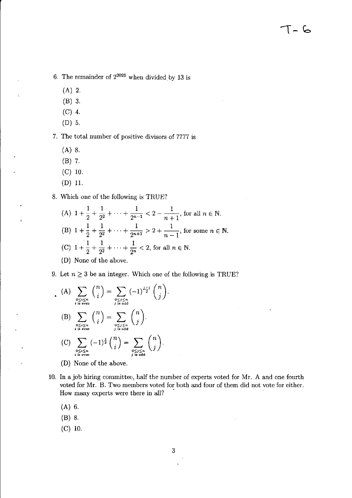6. The remainder of  $2^{2025}$  when divided by 13 is

- (A) 2.
- (B) 3.
- $(C)$  4.
- (D) 5.

7. The total number of positive divisors of 7777 is

- (A) 8.
- (B) 7.
- (e) *10.*
- (D) 11.

8. Which one of the following is TRUE?

 $1 \t 1 \t 1 \t 1$ (A)  $1 + \frac{1}{2} + \frac{1}{2^2} + \cdots + \frac{1}{2^{n-1}} < 2 - \frac{1}{n+1}$ , for all  $n \in \mathbb{N}$ .  $1 \t1 \t1 \t2 \t1$ (B)  $1 + \frac{1}{2} + \frac{1}{2^2} + \dots + \frac{1}{2^{n+1}} > 2 + \frac{1}{n-1}$ , for some  $n \in \mathbb{N}$ . (C)  $1 + \frac{1}{2} + \frac{1}{2^2} + \cdots + \frac{1}{2^n} < 2$ , for all  $n \in \mathbb{N}$ . (D) None of the above.

9. Let  $n \geq 3$  be an integer. Which one of the following is TRUE?

(A) 
$$
\sum_{\substack{0 \le i \le n \\ i \text{ is even}}} {n \choose i} = \sum_{\substack{0 \le j \le n \\ j \text{ is odd}}} (-1)^{\frac{j+1}{2}} {n \choose j}.
$$
  
\n(B) 
$$
\sum_{\substack{0 \le i \le n \\ i \text{ is even}}} {n \choose i} = \sum_{\substack{0 \le j \le n \\ j \text{ is odd} \\ j \text{ is odd}}} {n \choose j}.
$$
  
\n(C) 
$$
\sum_{\substack{0 \le i \le n \\ j \text{ is even}}} (-1)^{\frac{j}{2}} {n \choose i} = \sum_{\substack{0 \le j \le n \\ j \text{ is odd}}} {n \choose j}.
$$

- (D) None of the above.
- 10. In a job hiring committee, half the number of experts voted for Mr. A and one fourth voted for Mr. B. Two members voted for both and four of them did not vote for either. How many experts were there in all?
	- (A) 6.
	- (B) 8.
	- $(C)$  10.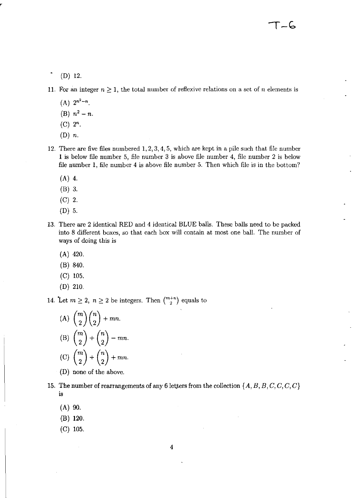(D) 12.

11. For an integer  $n \geq 1$ , the total number of reflexive relations on a set of *n* elements is

- $(A)$   $2^{n^2-n}$ .
- (B)  $n^2 n$ .
- $(C)$   $2^n$ .
- (D) *n.*
- 12. There are five files numbered 1,2,3,4,5, which are kept in a pile such that file number 1 is below file number 5, file number 3 is above file number 4, file number 2 is below file number 1, file number 4 is above file number 5. Then which file is in the bottom?
	- (A) 4.
	- (B) 3.
	- $(C) 2.$
	- (D) 5.
- 13. There are 2 identical RED and 4 identical BLUE balls. These balls need to be packed into 8 different boxes, so that each box will contain at most one ball. The number of ways of doing this is
	- (A) 420.
	- (B) 840.
	- (C) 105.
	- (D) 210.

14. Let  $m \geq 2$ ,  $n \geq 2$  be integers. Then  $\binom{m+n}{2}$  equals to

(A) 
$$
\binom{m}{2} \binom{n}{2} + mn
$$
.  
\n(B)  $\binom{m}{2} + \binom{n}{2} - mn$ .  
\n(C)  $\binom{m}{2} + \binom{n}{2} + mn$ .

- (D) none of the above.
- 15. The number of rearrangements of any 6 letters from the collection  $\{A, B, B, C, C, C, C\}$ is
	- $(A)$  90.
	- (B) 120.
	- $(C)$  105.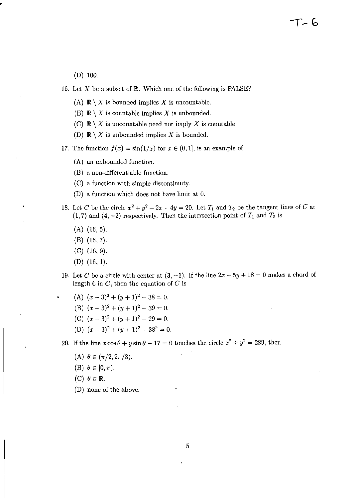(D) 100.

- 16. Let  $X$  be a subset of  $\mathbb R$ . Which one of the following is FALSE?
	- (A)  $\mathbb{R} \setminus X$  is bounded implies X is uncountable.
	- (B)  $\mathbb{R} \setminus X$  is countable implies X is unbounded.
	- (C)  $\mathbb{R} \setminus X$  is uncountable need not imply X is countable.
	- (D)  $\mathbb{R} \setminus X$  is unbounded implies X is bounded.
- 17. The function  $f(x) = \sin(1/x)$  for  $x \in (0,1]$ , is an example of
	- (A) an unbounded function.
	- (B) a non-differentiable function.
	- (C) a function with simple discontinuity.
	- (D) a function which does not have limit at 0.
- 18. Let C be the circle  $x^2 + y^2 2x 4y = 20$ . Let  $T_1$  and  $T_2$  be the tangent lines of C at  $(1,7)$  and  $(4,-2)$  respectively. Then the intersection point of  $T_1$  and  $T_2$  is
	- (A) (16, 5).
	- $(B)$   $(16, 7)$ .
	- $(C)$  (16, 9).
	- (D) (16, 1).
- 19. Let C be a circle with center at  $(3, -1)$ . If the line  $2x 5y + 18 = 0$  makes a chord of length 6 in  $C$ , then the equation of  $C$  is
	- (A)  $(x-3)^2 + (y+1)^2 38 = 0$ .
	- (B)  $(x-3)^2 + (y+1)^2 39 = 0$ .
	- (C)  $(x-3)^2 + (y+1)^2 29 = 0$ .
	- (D)  $(x-3)^2 + (y+1)^2 38^2 = 0$ .

20. If the line  $x \cos \theta + y \sin \theta - 17 = 0$  touches the circle  $x^2 + y^2 = 289$ , then

- (A)  $\theta \in (\pi/2, 2\pi/3)$ .
- (B)  $\theta \in [0, \pi)$ .
- (C)  $\theta \in \mathbb{R}$ .
- (D) none of the above.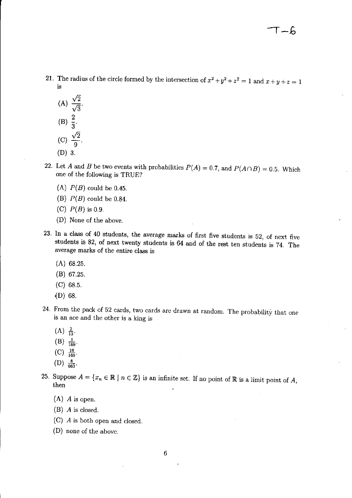- 21. The radius of the circle formed by the intersection of  $x^2 + y^2 + z^2 = 1$  and  $x + y + z = 1$ is
	- (A)  $\frac{\sqrt{2}}{\sqrt{3}}$ .  $(B) \equiv$ 3  $(C) \frac{V_2}{2}$ . 9 (D) 3.
- 22. Let A and B be two events with probabilities  $P(A) = 0.7$ , and  $P(A \cap B) = 0.5$ . Which one of the following is TRUE?
	- (A)  $P(B)$  could be 0.45.
	- (B)  $P(B)$  could be 0.84.
	- (C)  $P(B)$  is 0.9.
	- (D) None of the above.
- 23. In a class of 40 students, the average marks of first five students is 52, of next five students is 82, of next twenty students is 64 and of the rest ten students is 74. The average marks of the entire class is
	- (A) 68.25.
	- (B) 67.25.
	- (C) 68.5.
	- {D) 68.
- 24. From the pack of 52 cards, two cards are drawn at random. The probability that one is an ace and the other is a king is
	- $(A) \frac{2}{13}$ .
	- $(B)$   $\frac{1}{169}$ .
	- $(C)$   $\frac{16}{169}$ .
	- $(D) \frac{8}{663}.$
- 25. Suppose  $A = \{x_n \in \mathbb{R} \mid n \in \mathbb{Z}\}\$ is an infinite set. If no point of  $\mathbb{R}$  is a limit point of A, then
	- (A) A is open.
	- (B) A is closed.
	- (C) A is both open and closed.
	- (D) none of the above.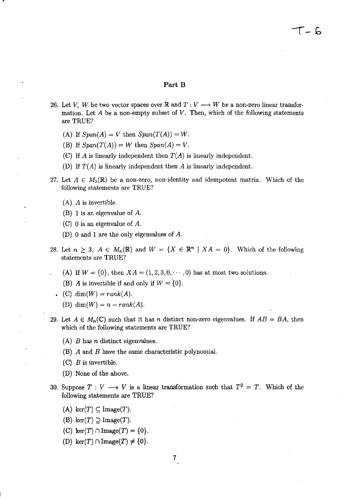## Part B

- 26. Let *V*, *W* be two vector spaces over **R** and  $T: V \rightarrow W$  be a non-zero linear transformation. Let *A* be a non-empty subset of *V.* Then, which of the following statements are TRUE?
	- (A) If  $Span(A) = V$  then  $Span(T(A)) = W$ .
	- (B) If  $Span(T(A)) = W$  then  $Span(A) = V$ .
	- (C) If *A* is linearly independent then  $T(A)$  is linearly independent.
	- (D) If  $T(A)$  is linearly independent then  $A$  is linearly independent.
- 27. Let  $A \in M_5(\mathbb{R})$  be a non-zero, non-identity and idempotent matrix. Which of the following statements are TRUE?
	- (A) A is invertible.
	- (B) 1 is an eigenvalue of  $A$ .
	- (C) 0 is an eigenvalue of  $A$ .
	- (D) 0 and 1 are the only eigenvalues of A.
- 28. Let  $n \geq 3$ ,  $A \in M_n(\mathbb{R})$  and  $W = \{X \in \mathbb{R}^n \mid XA = 0\}$ . Which of the following statements are TRUE?
	- (A) If  $W = \{0\}$ , then  $XA = (1, 2, 3, 0, \dots, 0)$  has at most two solutions.
	- (B) *A* is invertible if and only if  $W = \{0\}$ .
	- $(C)$  dim(W) =  $rank(A)$ .
		- (D)  $\dim(W) = n rank(A)$ .
- 29. Let  $A \in M_n(\mathbb{C})$  such that it has *n* distinct non-zero eigenvalues. If  $AB = BA$ , then which of the following statements are TRUE?
	- (A) *B* has *n* distinct eigenvalues.
	- (B) *A* and *B* have the same characteristic polynomial.
	- (e) *B* is invertible.
	- (D) None of the above.
- 30. Suppose  $T: V \longrightarrow V$  is a linear transformation such that  $T^2 = T$ . Which of the following statements are TRUE?
	- (A)  $\ker(T) \subseteq \text{Image}(T)$ .
	- (B)  $\ker(T) \supseteq \text{Image}(T)$ .
	- (C)  $\ker(T) \cap \text{Image}(T) = \{0\}.$
	- (D) ker $(T) \cap \text{Image}(T) \neq \{0\}.$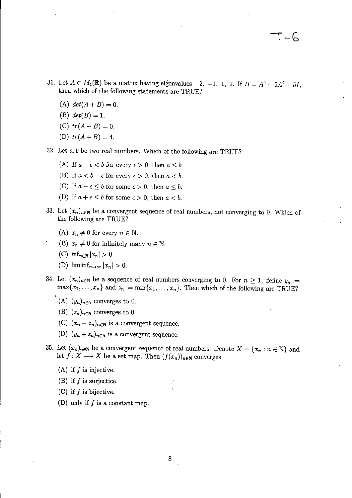- 31. Let  $A \in M_4(\mathbb{R})$  be a matrix having eigenvalues  $-2$ ,  $-1$ , 1, 2. If  $B = A^4 5A^2 + 5I$ , then which of the following statements are TRUE?
	- (A)  $det(A + B) = 0$ .
	- (B)  $det(B) = 1$ .
	- (C)  $tr(A B) = 0$ .
	- (D)  $tr(A + B) = 4$ .
- 32. Let *a, b* be two real numbers. Which of the following are TRUE?
	- (A) If  $a \epsilon < b$  for every  $\epsilon > 0$ , then  $a \leq b$ .
	- (B) If  $a < b + \epsilon$  for every  $\epsilon > 0$ , then  $a < b$ .
	- (C) If  $a \epsilon \leq b$  for some  $\epsilon > 0$ , then  $a \leq b$ .
	- (D) If  $a + \epsilon \leq b$  for some  $\epsilon > 0$ , then  $a < b$ .
- 33. Let  $(x_n)_{n\in\mathbb{N}}$  be a convergent sequence of real numbers, not converging to 0. Which of the following are TRUE?
	- (A)  $x_n \neq 0$  for every  $n \in \mathbb{N}$ .
	- (B)  $x_n \neq 0$  for infinitely many  $n \in \mathbb{N}$ .
	- $(C)$  inf<sub>n $\in \mathbb{N}$ </sub>  $|x_n| > 0$ .
	- (D)  $\liminf_{n\to\infty} |x_n| > 0.$
- 34. Let  $(x_n)_{n\in\mathbb{N}}$  be a sequence of real numbers converging to 0. For  $n \geq 1$ , define  $y_n :=$  $\max\{x_1,\ldots,x_n\}$  and  $z_n := \min\{x_1,\ldots,x_n\}$ . Then which of the following are TRUE?
	- (A)  $(y_n)_{n\in\mathbb{N}}$  converges to 0.
		- (B)  $(z_n)_{n\in\mathbb{N}}$  converges to 0.
		- (C)  $(x_n z_n)_{n \in \mathbb{N}}$  is a convergent sequence.
		- (D)  $(y_n + z_n)_{n \in \mathbb{N}}$  is a convergent sequence.
- 35. Let  $(x_n)_{n\in\mathbb{N}}$  be a convergent sequence of real numbers. Denote  $X = \{x_n : n \in \mathbb{N}\}\$  and let  $f: X \longrightarrow X$  be a set map. Then  $(f(x_n))_{n\in\mathbb{N}}$  converges
	- $(A)$  if f is injective.
	- (B) if  $f$  is surjectice.
	- (C) if  $f$  is bijective.
	- (D) only if  $f$  is a constant map.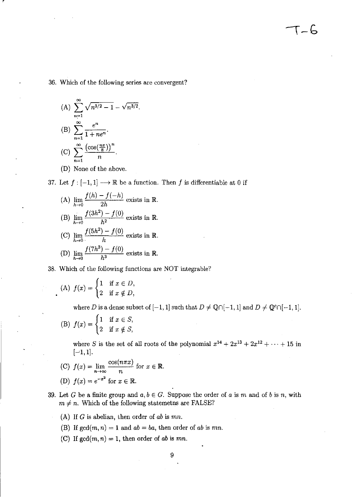36. Which of the following series are convergent?

(A) 
$$
\sum_{n=1}^{\infty} \sqrt{n^{3/2} - 1} - \sqrt{n^{3/2}}.
$$
  
\n(B) 
$$
\sum_{n=1}^{\infty} \frac{e^n}{1 + ne^n}.
$$
  
\n(C) 
$$
\sum_{n=1}^{\infty} \frac{(\cos(\frac{n\pi}{8}))^n}{n}.
$$
  
\n(D) None of the above.

r

37. Let  $f: [-1,1] \longrightarrow \mathbb{R}$  be a function. Then f is differentiable at 0 if

(A)  $\lim_{h\to 0} \frac{f(h) - f(-h)}{2h}$  exists in R. (B)  $\lim_{h \to 0} \frac{f(\delta h^2) - f(0)}{h}$  exists in R.  $h\rightarrow 0$ (C)  $\lim_{h\to 0} \frac{f(5h^2) - f(0)}{h}$  exists in R. (D)  $\lim_{h \to 0} \frac{f(7h^3) - f(0)}{h}$  exists in R.  $\lim_{h\to 0} h^3$ 

38. Which of the following functions are NOT integrable?

(A) 
$$
f(x) = \begin{cases} 1 & \text{if } x \in D, \\ 2 & \text{if } x \notin D, \end{cases}
$$

where *D* is a dense subset of  $[-1, 1]$  such that  $D \neq \mathbb{Q} \cap [-1, 1]$  and  $D \neq \mathbb{Q}^c \cap [-1, 1]$ .

 $\Gamma - \Gamma$ 

(B) 
$$
f(x) = \begin{cases} 1 & \text{if } x \in S, \\ 2 & \text{if } x \notin S, \end{cases}
$$

where *S* is the set of all roots of the polynomial  $x^{14} + 2x^{13} + 2x^{12} + \cdots + 15$  in  $[-1, 1].$ 

- (C)  $f(x) = \lim_{n \to \infty} \frac{\cos(n\pi x)}{n}$  for  $x \in \mathbb{R}$ . **(D)**  $f(x) = e^{-x^2}$  for  $x \in \mathbb{R}$ .
- 
- 39. Let G be a finite group and  $a, b \in G$ . Suppose the order of a is m and of b is n, with  $m \neq n$ . Which of the following statemeths are FALSE?

(A) If G is abelian, then order of *ab* is *mn.* 

- (B) If  $gcd(m, n) = 1$  and  $ab = ba$ , then order of *ab* is *mn*.
- (C) If  $gcd(m, n) = 1$ , then order of *ab* is *mn*.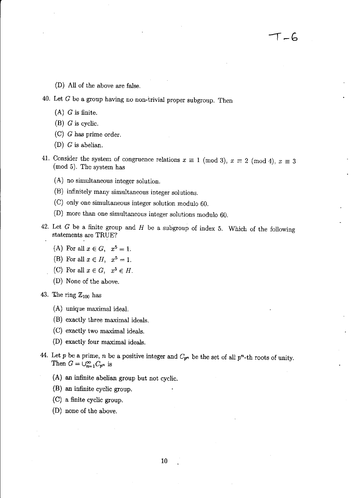(D) All of the above are false.

- 40. Let  $G$  be a group having no non-trivial proper subgroup. Then
	- $(A)$  G is finite.
	- (B) G is cyclic.
	- (C) G has prime order.
	- (D) G is abelian.
- 41. Consider the system of congruence relations  $x \equiv 1 \pmod{3}$ ,  $x \equiv 2 \pmod{4}$ ,  $x \equiv 3$ (mod 5). The system has
	- (A) no simultaneous integer solution.
	- (B) infinitely many simultaneous integer solutions.
	- (C) only one simultaneous integer solution modulo 60.
	- (D) more than one simultaneous integer solutions modulo 60.
- 42. Let  $G$  be a finite group and  $H$  be a subgroup of index 5. Which of the following statements are TRUE?
	- (A) For all  $x \in G$ ,  $x^5 = 1$ .
	- (B) For all  $x \in H$ ,  $x^5 = 1$ .
	- (C) For all  $x \in G$ ,  $x^5 \in H$ .
	- (D) None of the above.
- 43. The ring  $\mathbb{Z}_{100}$  has
	- (A) unique maximal ideal.
	- (B) exactly three maximal ideals.
	- (C) exactly two maximal ideals.
	- (D) exactly four maximal ideals.
- 44. Let p be a prime, *n* be a positive integer and  $C_{p^n}$  be the set of all p<sup>n</sup>-th roots of unity. Then  $G = \bigcup_{n=1}^{\infty} C_{p^n}$  is
	- (A) an infinite abelian group but not cyclic.
	- (B) an infinite cyclic group.
	- (C) a finite cyclic group.
	- (D) none of the above.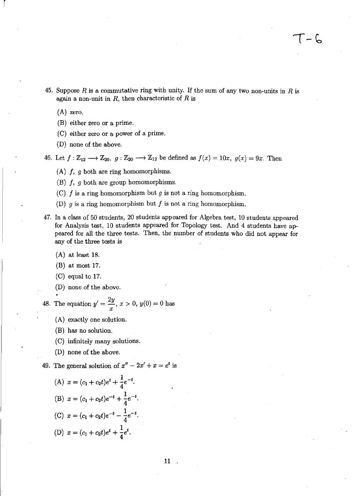- 45. Suppose R is a commutative ring with unity. If the sum of any two non-units in R is again a non-unit in  $R$ , then characteristic of  $R$  is
	- (A) zero.

r

- (B) either zero or a prime.
- (C) either zero or a power of a prime.
- (D) none of the above.

46. Let  $f : \mathbb{Z}_{12} \longrightarrow \mathbb{Z}_{20}$ ,  $g: \mathbb{Z}_{20} \longrightarrow \mathbb{Z}_{12}$  be defined as  $f(x) = 10x$ ,  $g(x) = 9x$ . Then

- (A) f, *9* both are ring homomorphisms.
- (B) f, *9* both are group homomorphisms.
- (C) f is a ring homomorphism but *9* is not a ring homomorphism.
- (D)  $q$  is a ring homomorphism but  $f$  is not a ring homomorphism.
- 47. In a class of 50 students, 20 students appeared for Algebra test, 10 students appeared for Analysis test, 10 students appeared for Topology test. And 4 students have appeared for all the three tests. Then, the number of students who did not appear for any of the three tests is
	- (A) at least 18.
	- (B) at most 17.
	- (C) equal to 17.
	- $(D)$  none of the above.

48. The equation  $y' = \frac{2y}{y}$ ,  $x > 0$ ,  $y(0) = 0$  has *x* 

- (A) exactly one solution.
- (B) has no solution.
- (C) infinitely many solutions.
- (D) none of the above.

49. The general solution of  $x'' - 2x' + x = e^t$  is

(A) 
$$
x = (c_1 + c_2t)e^t + \frac{1}{4}e^{-t}
$$
.  
\n(B)  $x = (c_1 + c_2t)e^{-t} + \frac{1}{4}e^{-t}$ .  
\n(C)  $x = (c_1 + c_2t)e^{-t} - \frac{1}{4}e^{-t}$ .  
\n(D)  $x = (c_1 + c_2t)e^t + \frac{1}{4}e^t$ .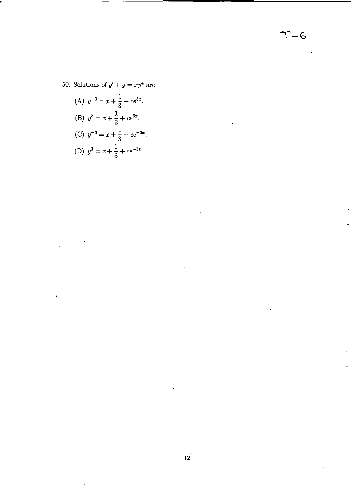$T - 6$ 

50. Solutions of  $y' + y = xy^4$  are

(A) 
$$
y^{-3} = x + \frac{1}{3} + ce^{3x}
$$
.  
\n(B)  $y^3 = x + \frac{1}{3} + ce^{3x}$ .  
\n(C)  $y^{-3} = x + \frac{1}{3} + ce^{-3x}$ .  
\n(D)  $y^3 = x + \frac{1}{3} + ce^{-3x}$ .

 $\ddot{\phantom{0}}$